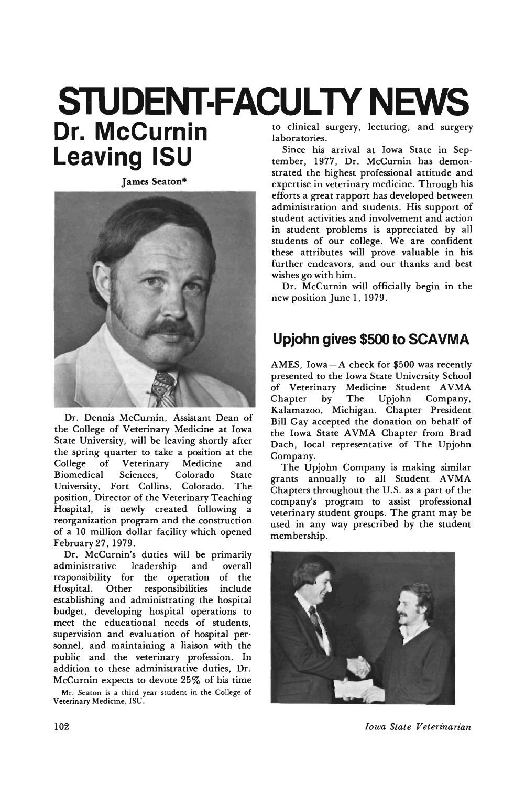#### to clinical surgery, lecturing, and surgery **STUDENT·FACULTV NEWS Dr. McCurnin**

James Seaton\*

**Leaving ISU**



Dr. Dennis McCurnin, Assistant Dean of the College of Veterinary Medicine at Iowa State University, will be leaving shortly after the spring quarter to take a position at the College of Veterinary Medicine and Biomedical Sciences, Colorado State University, Fort Collins, Colorado. The position, Director of the Veterinary Teaching Hospital, is newly created following a reorganization program and the construction of a 10 million dollar facility which opened February 27, 1979.

Dr. McCurnin's duties will be primarily administrative leadership and overall responsibility for the operation of the Hospital. Other responsibilities include establishing and administrating the hospital budget, developing hospital operations to meet the educational needs of students, supervision and evaluation of hospital personnel, and maintaining a liaison with the public and the veterinary profession. In addition to these administrative duties, Dr. McCurnin expects to devote 25% of his time

Mr. Seaton is a third year student in the College of Veterinary Medicine. ISU.

laboratories.

Since his arrival at Iowa State in September, 1977, Dr. McCurnin has demonstrated the highest professional attitude and expertise in veterinary medicine. Through his efforts a great rapport has developed between administration and students. His support of student activities and involvement and action in student problems is appreciated by all students of our college. We are confident these attributes will prove valuable in his further endeavors, and our thanks and best wishes go with him.

Dr. McCurnin will officially begin in the new position June I, 1979.

#### **Upjohn gives \$500 to SCAVMA**

AMES, Iowa $-A$  check for \$500 was recently presented to the Iowa State University School of Veterinary Medicine Student AVMA Chapter by The Upjohn Company, Kalamazoo, Michigan. Chapter President Bill Gay accepted the donation on behalf of the Iowa State AVMA Chapter from Brad Dach, local representative of The Upjohn Gompany.

The Upjohn Company is making similar grants annually to all Student AVMA Chapters throughout the U.S. as a part of the company's program to assist professional veterinary student groups. The grant may be used in any way prescribed by the student membership.



102 *Iowa State Veterinarian*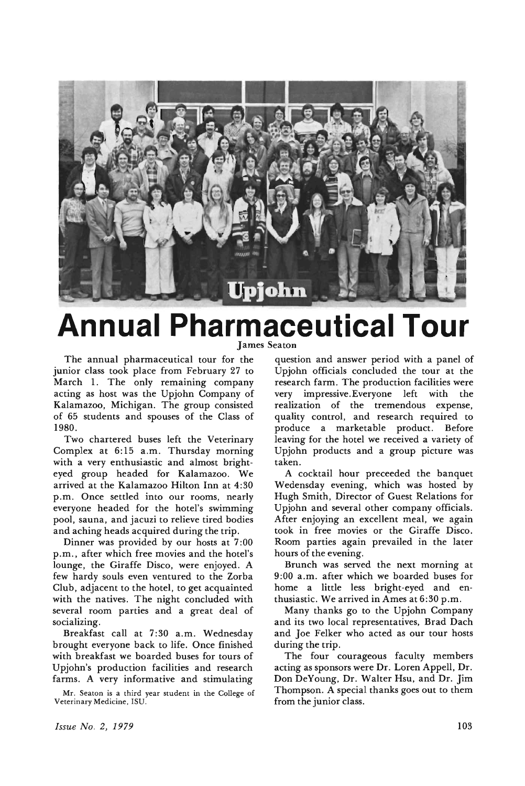

#### **Annual Pharmaceutical Tour** James Seaton

The annual pharmaceutical tour for the junior class took place from February 27 to March 1. The only remaining company acting as host was the Upjohn Company of Kalamazoo, Michigan. The group consisted of 65 students and spouses of the Class of 1980.

Two chartered buses left the Veterinary Complex at 6:15 a.m. Thursday morning with a very enthusiastic and almost brighteyed group headed for Kalamazoo. We arrived at the Kalamazoo Hilton Inn at 4:30 p.m. Once settled into our rooms, nearly everyone headed for the hotel's swimming pool, sauna, and jacuzi to relieve tired bodies and aching heads acquired during the trip.

Dinner was provided by our hosts at 7:00 p.m., after which free movies and the hotel's lounge, the Giraffe Disco, were enjoyed. A few hardy souls even ventured to the Zorba Club, adjacent to the hotel, to get acquainted with the natives. The night concluded with several room parties and a great deal of socializing.

Breakfast call at 7:30 a.m. Wednesday brought everyone back to life. Once finished with breakfast we boarded buses for tours of Upjohn's production facilities and research farms. A very informative and stimulating

Mr. Seaton is a third year student in the College of Veterinary Medicine, ISU.

question and answer period with a panel of Upjohn officials concluded the tour at the research farm. The production facilities were very impressive.Everyone left with the realization of the tremendous expense, quality control, and research required to produce a marketable product. Before leaving for the hotel we received a variety of Upjohn products and a group picture was taken.

A cocktail hour preceeded the banquet Wedensday evening, which was hosted by Hugh Smith, Director of Guest Relations for Upjohn and several other company officials. After enjoying an excellent meal, we again took in free movies or the Giraffe Disco. Room parties again prevailed in the later hours of the evening.

Brunch was served the next morning at 9:00 a.m. after which we boarded buses for home a little less bright-eyed and enthusiastic. We arrived in Ames at 6:30 p.m.

Many thanks go to the Upjohn Company and its two local representatives, Brad Dach and Joe Felker who acted as our tour hosts during the trip.

The four courageous faculty members acting as sponsors were Dr. Loren Appell, Dr. Don DeYoung, Dr. Walter Hsu, and Dr. Jim Thompson. A special thanks goes out to them from the junior class.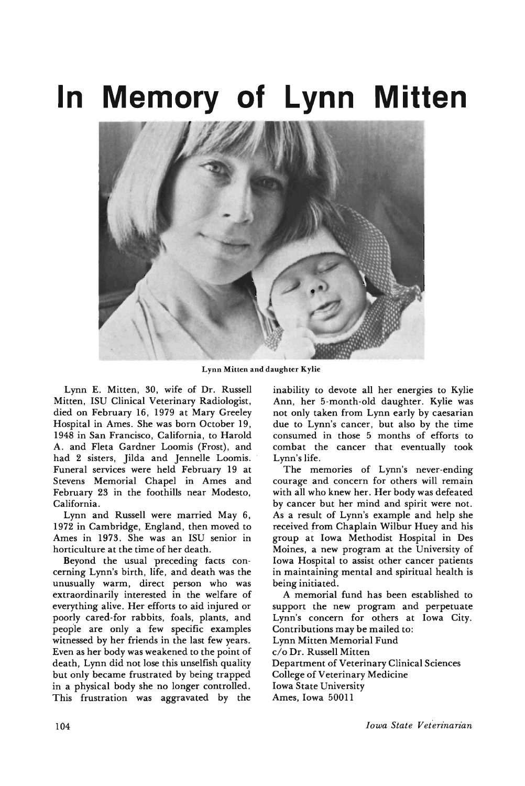# **In Memory of Lynn Mitten**



Lynn Mitten and daughter Kylie

Lynn E. Mitten, 30, wife of Dr. Russell Mitten, ISU Clinical Veterinary Radiologist, died on February 16, 1979 at Mary Greeley Hospital in Ames. She was born October 19, 1948 in San Francisco, California, to Harold A. and Fleta Gardner Loomis (Frost), and had 2 sisters, Jilda and Jennelle Loomis. Funeral services were held February 19 at Stevens Memorial Chapel in Ames and February 23 in the foothills near Modesto, California.

Lynn and Russell were married May 6, 1972 in Cambridge, England, then moved to Ames in 1973. She was an ISU senior in horticulture at the time of her death.

Beyond the usual preceding facts concerning Lynn's birth, life, and death was the unusually warm, direct person who was extraordinarily interested in the welfare of everything alive. Her efforts to aid injured or poorly cared-for rabbits, foals, plants, and people are only a few specific examples witnessed by her friends in the last few years. Even as her body was weakened to the point of death, Lynn did not lose this unselfish quality but only became frustrated by being trapped in a physical body she no longer controlled. This frustration was aggravated by the inability to devote all her energies to Kylie Ann, her 5-month-old daughter. Kylie was not only taken from Lynn early by caesarian due to Lynn's cancer, but also by the time consumed in those 5 months of efforts to combat the cancer that eventually took Lynn's life.

The memories of Lynn's never-ending courage and concern for others will remain with all who knew her. Her body was defeated by cancer but her mind and spirit were not. As a result of Lynn's example and help she received from Chaplain Wilbur Huey and his group at Iowa Methodist Hospital in Des Moines, a new program at the University of Iowa Hospital to assist other cancer patients in maintaining mental and spiritual health is being initiated.

A memorial fund has been established to support the new program and perpetuate Lynn's concern for others at Iowa City. Contributions may be mailed to: Lynn Mitten Memorial Fund c/o Dr. Russell Mitten Department of Veterinary Clinical Sciences College of Veterinary Medicine Iowa State University Ames, Iowa 50011